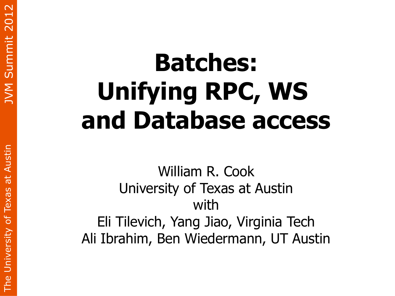# **Batches: Unifying RPC, WS and Database access**

William R. Cook University of Texas at Austin with Eli Tilevich, Yang Jiao, Virginia Tech Ali Ibrahim, Ben Wiedermann, UT Austin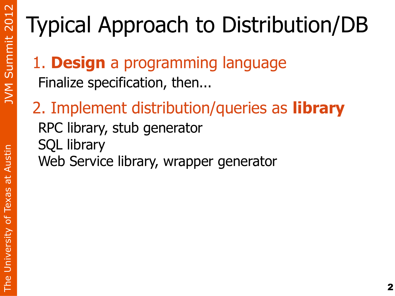# Typical Approach to Distribution/DB

- 1. **Design** a programming language Finalize specification, then...
- 2. Implement distribution/queries as **library** RPC library, stub generator SQL library Web Service library, wrapper generator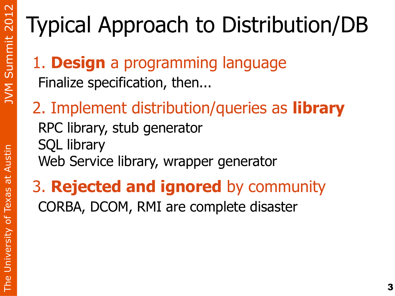# Typical Approach to Distribution/DB

- 1. **Design** a programming language Finalize specification, then...
- 2. Implement distribution/queries as **library** RPC library, stub generator SQL library Web Service library, wrapper generator

#### 3. **Rejected and ignored** by community CORBA, DCOM, RMI are complete disaster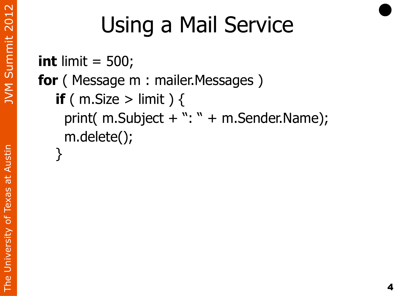# Using a Mail Service

```
int limit = 500;
for (Message m : mailer.Messages)
  if ( m.Size > limit ) {
    print(m.Subject + ": " + m.Sender.Name); m.delete();
 }
```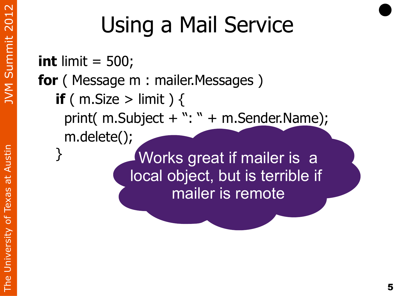# Using a Mail Service

**int** limit = 500; **for** ( Message m : mailer.Messages ) **if** ( m.Size > limit )  $\{$ print( $m.Subject + ": " + m.Sender.Name);$  m.delete(); } Works great if mailer is a local object, but is terrible if mailer is remote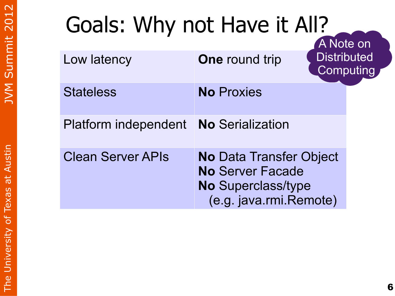## Goals: Why not Have it All?

|                             |                                                                                                           | A Note on                       |
|-----------------------------|-----------------------------------------------------------------------------------------------------------|---------------------------------|
| Low latency                 | <b>One</b> round trip                                                                                     | <b>Distributed</b><br>Computing |
| <b>Stateless</b>            | <b>No Proxies</b>                                                                                         |                                 |
| <b>Platform independent</b> | <b>No Serialization</b>                                                                                   |                                 |
| <b>Clean Server APIs</b>    | <b>No Data Transfer Object</b><br><b>No Server Facade</b><br>No Superclass/type<br>(e.g. java.rmi.Remote) |                                 |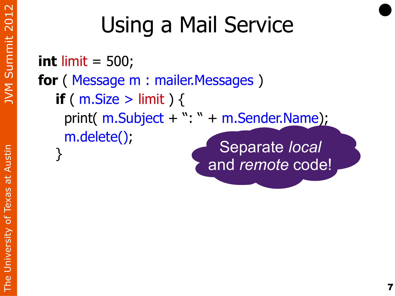# Using a Mail Service

**int** limit = 500; **for** ( Message m : mailer.Messages ) **if** (  $m$ . Size > limit ) { print( m.Subject + ": " + m.Sender.Name); m.delete() ; } Separate *local*

and *remote* code!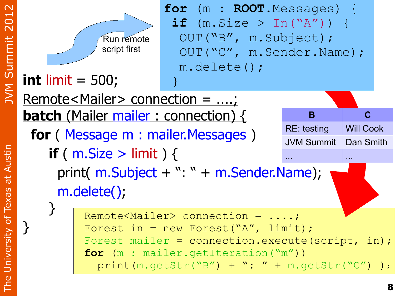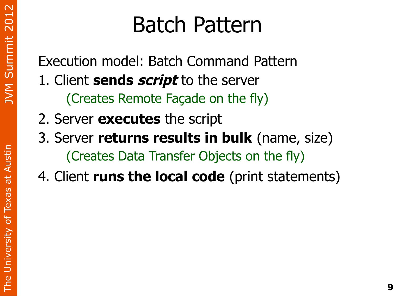m

## Batch Pattern

Execution model: Batch Command Pattern 1. Client **sends script** to the server (Creates Remote Façade on the fly)

- 2. Server **executes** the script
- 3. Server **returns results in bulk** (name, size) (Creates Data Transfer Objects on the fly)
- 4. Client **runs the local code** (print statements)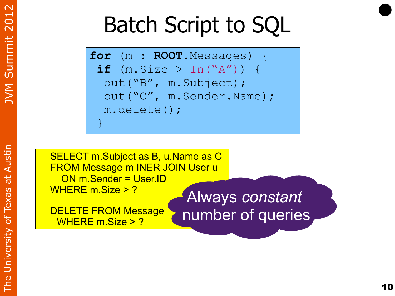# Batch Script to SQL

```
for (m : ROOT.Messages) {
 if (m.size > In("A") ) {
   out("B", m.Subject); 
   out("C", m.Sender.Name); 
   m.delete(); }
```
SELECT m.Subject as B, u.Name as C FROM Message m INER JOIN User u ON m.Sender = User.ID WHERE m.Size > ?

DELETE FROM Message WHERE m.Size > ?

Always *constant* number of queries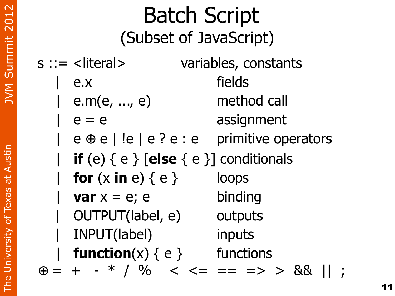| <b>Batch Script</b><br>(Subset of JavaScript)      |                             |                                                   |
|----------------------------------------------------|-----------------------------|---------------------------------------------------|
|                                                    | $s ::=$ <literal></literal> | variables, constants                              |
|                                                    | e.x                         | fields                                            |
|                                                    | e.m(e, , $e$ )              | method call                                       |
|                                                    | $e = e$                     | assignment                                        |
|                                                    |                             | $e \oplus e$   !e   e ? e : e primitive operators |
| <b>if</b> (e) $\{e\}$ [else $\{e\}$ ] conditionals |                             |                                                   |
|                                                    | for $(x in e) \{ e \}$      | loops                                             |
|                                                    | var $x = e$ ; e             | binding                                           |
|                                                    | OUTPUT(label, e)            | outputs                                           |
|                                                    | INPUT(label)                | inputs                                            |
|                                                    | function(x) $\{ e \}$       | functions                                         |
|                                                    |                             | $= + - * / \%$ < < = = => > &&                    |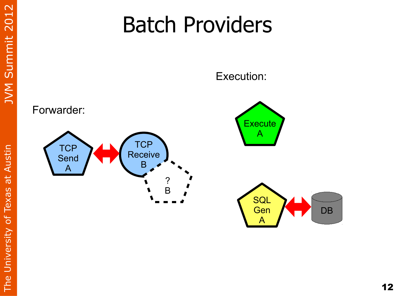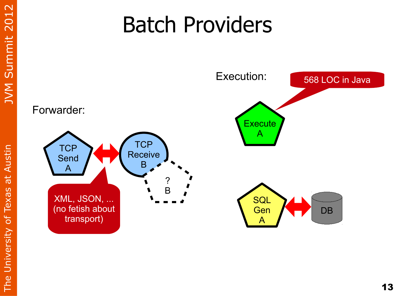#### Batch Providers

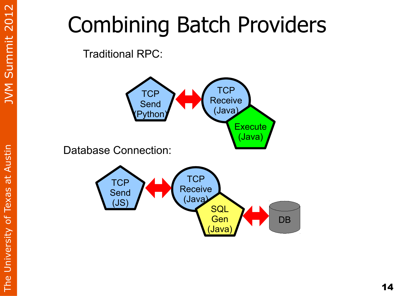#### Combining Batch Providers

Traditional RPC:

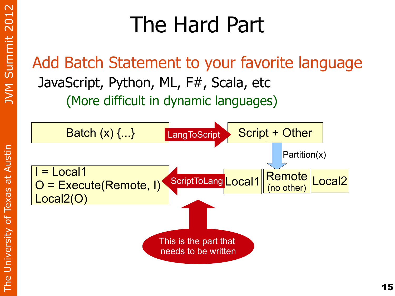m

 $\vdash$  .  $\Gamma$ e $\Box$ 

niv e

rsit  $\blacktriangleright$ 

 $\mathcal{P}^\mathsf{f}$ 

 $\mathsf{P}$  $\times$ ത ທ ത ب  $\blacktriangleleft$ uທ tin

#### The Hard Part

Add Batch Statement to your favorite language JavaScript, Python, ML, F#, Scala, etc (More difficult in dynamic languages)

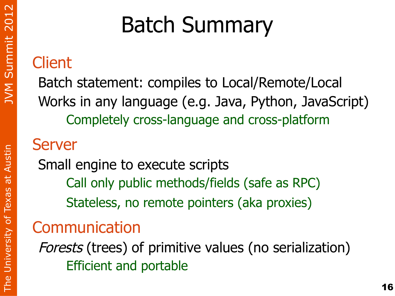## Batch Summary

#### **Client**

Batch statement: compiles to Local/Remote/Local Works in any language (e.g. Java, Python, JavaScript) Completely cross-language and cross-platform

#### Server

Small engine to execute scripts Call only public methods/fields (safe as RPC) Stateless, no remote pointers (aka proxies)

#### Communication

Forests (trees) of primitive values (no serialization) Efficient and portable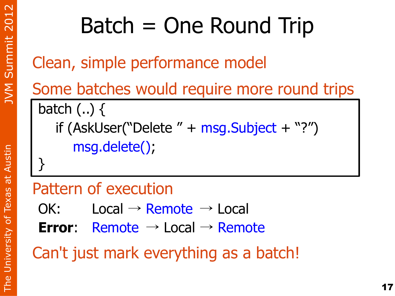# Batch = One Round Trip

Clean, simple performance model

Some batches would require more round trips batch (..) { if (AskUser("Delete " + msg.Subject + "?") msg.delete(); }

#### Pattern of execution

- $OK:$  Local  $\rightarrow$  Remote  $\rightarrow$  Local
- **Error**: Remote → Local → Remote

Can't just mark everything as a batch!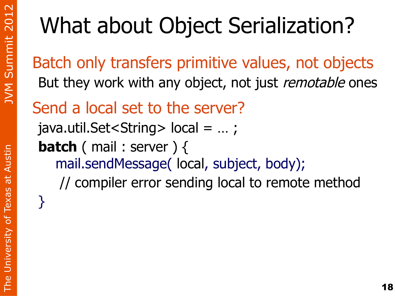# What about Object Serialization?

Batch only transfers primitive values, not objects But they work with any object, not just *remotable* ones

Send a local set to the server?

java.util.Set<String> local = … ; **batch** ( mail : server ) {

mail.sendMessage( local, subject, body);

// compiler error sending local to remote method

}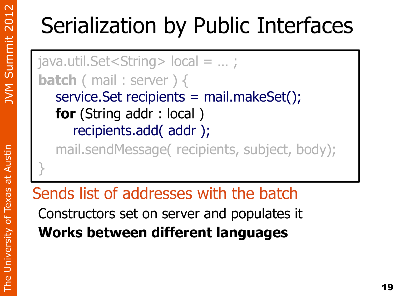## Serialization by Public Interfaces

java.util.Set<String> local = … ; **batch** ( mail : server ) { service.Set recipients = mail.makeSet(); **for** (String addr : local ) recipients.add( addr );

mail.sendMessage( recipients, subject, body);

Sends list of addresses with the batch Constructors set on server and populates it **Works between different languages**

}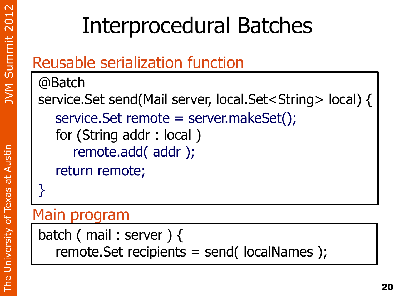### Interprocedural Batches

#### Reusable serialization function

@Batch service.Set send(Mail server, local.Set<String> local) { service.Set remote = server.makeSet(); for (String addr : local ) remote.add( addr ); return remote; }

#### Main program

batch ( mail : server ) { remote.Set recipients = send( localNames );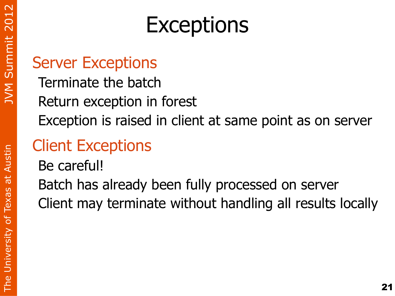#### **Exceptions**

#### Server Exceptions

Terminate the batch Return exception in forest Exception is raised in client at same point as on server

#### Client Exceptions

Be careful!

Batch has already been fully processed on server Client may terminate without handling all results locally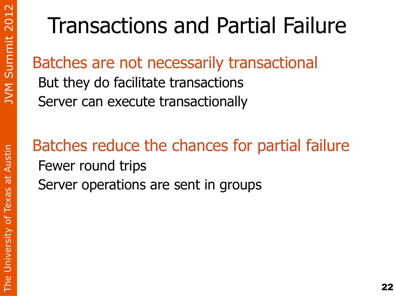## Transactions and Partial Failure

#### Batches are not necessarily transactional

But they do facilitate transactions Server can execute transactionally

Batches reduce the chances for partial failure Fewer round trips Server operations are sent in groups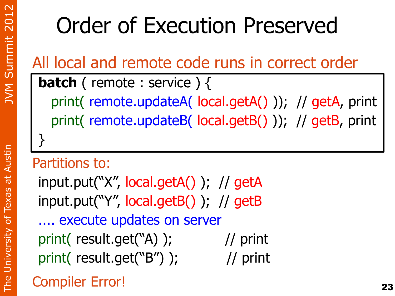#### Order of Execution Preserved

All local and remote code runs in correct order

**batch** ( remote : service ) {

 print( remote.updateA( local.getA() )); // getA, print print( remote.updateB( local.getB() )); // getB, print

#### Partitions to:

}

input.put("X", local.getA() ); // getA input.put("Y", local.getB() ); // getB

.... execute updates on server print( result.get("A) ); // print print( result.get("B") ); // print

#### Compiler Error!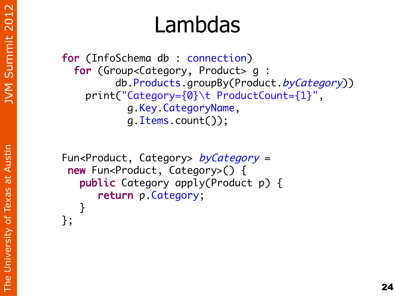$\vdash$  .  $\Gamma$ e $\Box$ 

niv e

rsit  $\blacktriangleright$ 

 $\mathcal{P}^\mathsf{f}$ 

 $\mathsf{P}$  $\times$ ത ທ ത ب  $\blacktriangleleft$ uທ tin

#### Lambdas

for (InfoSchema db : connection) for (Group<Category, Product> g : db.Products.groupBy(Product.byCategory)) print("Category={0}\t ProductCount={1}", g.Key.CategoryName, g.Items.count());

```
Fun<Product, Category> byCategory =new Fun<Product, Category>() {
  public Category apply(Product p) {
      return p.Category;
  }
```